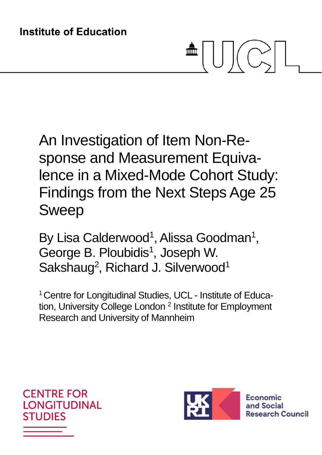# 血

An Investigation of Item Non-Response and Measurement Equivalence in a Mixed-Mode Cohort Study: Findings from the Next Steps Age 25 Sweep

By Lisa Calderwood<sup>1</sup>, Alissa Goodman<sup>1</sup>, George B. Ploubidis<sup>1</sup>, Joseph W. Sakshaug<sup>2</sup>, Richard J. Silverwood<sup>1</sup>

<sup>1</sup> Centre for Longitudinal Studies, UCL - Institute of Education, University College London<sup>2</sup> Institute for Employment Research and University of Mannheim



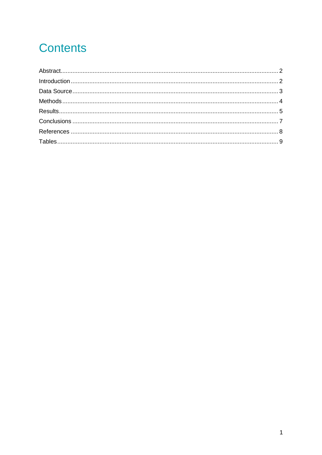# **Contents**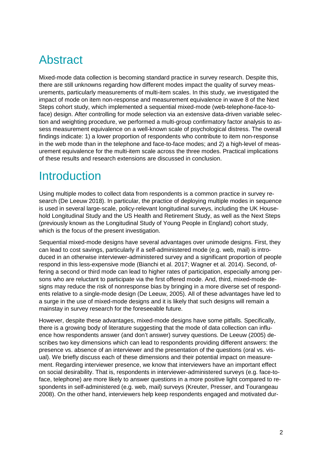## Abstract

Mixed-mode data collection is becoming standard practice in survey research. Despite this, there are still unknowns regarding how different modes impact the quality of survey measurements, particularly measurements of multi-item scales. In this study, we investigated the impact of mode on item non-response and measurement equivalence in wave 8 of the Next Steps cohort study, which implemented a sequential mixed-mode (web-telephone-face-toface) design. After controlling for mode selection via an extensive data-driven variable selection and weighting procedure, we performed a multi-group confirmatory factor analysis to assess measurement equivalence on a well-known scale of psychological distress. The overall findings indicate: 1) a lower proportion of respondents who contribute to item non-response in the web mode than in the telephone and face-to-face modes; and 2) a high-level of measurement equivalence for the multi-item scale across the three modes. Practical implications of these results and research extensions are discussed in conclusion.

## **Introduction**

Using multiple modes to collect data from respondents is a common practice in survey research (De Leeuw 2018). In particular, the practice of deploying multiple modes in sequence is used in several large-scale, policy-relevant longitudinal surveys, including the UK Household Longitudinal Study and the US Health and Retirement Study, as well as the Next Steps (previously known as the Longitudinal Study of Young People in England) cohort study, which is the focus of the present investigation.

Sequential mixed-mode designs have several advantages over unimode designs. First, they can lead to cost savings, particularly if a self-administered mode (e.g. web, mail) is introduced in an otherwise interviewer-administered survey and a significant proportion of people respond in this less-expensive mode (Bianchi et al. 2017; Wagner et al. 2014). Second, offering a second or third mode can lead to higher rates of participation, especially among persons who are reluctant to participate via the first offered mode. And, third, mixed-mode designs may reduce the risk of nonresponse bias by bringing in a more diverse set of respondents relative to a single-mode design (De Leeuw, 2005). All of these advantages have led to a surge in the use of mixed-mode designs and it is likely that such designs will remain a mainstay in survey research for the foreseeable future.

However, despite these advantages, mixed-mode designs have some pitfalls. Specifically, there is a growing body of literature suggesting that the mode of data collection can influence how respondents answer (and don't answer) survey questions. De Leeuw (2005) describes two key dimensions which can lead to respondents providing different answers: the presence vs. absence of an interviewer and the presentation of the questions (oral vs. visual). We briefly discuss each of these dimensions and their potential impact on measurement. Regarding interviewer presence, we know that interviewers have an important effect on social desirability. That is, respondents in interviewer-administered surveys (e.g. face-toface, telephone) are more likely to answer questions in a more positive light compared to respondents in self-administered (e.g. web, mail) surveys (Kreuter, Presser, and Tourangeau 2008). On the other hand, interviewers help keep respondents engaged and motivated dur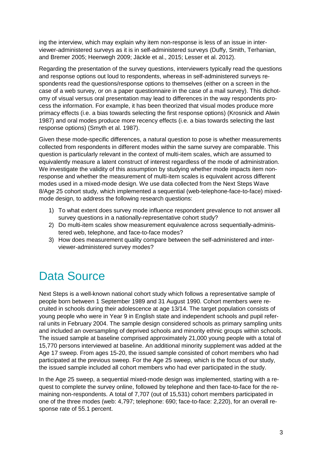ing the interview, which may explain why item non-response is less of an issue in interviewer-administered surveys as it is in self-administered surveys (Duffy, Smith, Terhanian, and Bremer 2005; Heerwegh 2009; Jäckle et al., 2015; Lesser et al. 2012).

Regarding the presentation of the survey questions, interviewers typically read the questions and response options out loud to respondents, whereas in self-administered surveys respondents read the questions/response options to themselves (either on a screen in the case of a web survey, or on a paper questionnaire in the case of a mail survey). This dichotomy of visual versus oral presentation may lead to differences in the way respondents process the information. For example, it has been theorized that visual modes produce more primacy effects (i.e. a bias towards selecting the first response options) (Krosnick and Alwin 1987) and oral modes produce more recency effects (i.e. a bias towards selecting the last response options) (Smyth et al. 1987).

Given these mode-specific differences, a natural question to pose is whether measurements collected from respondents in different modes within the same survey are comparable. This question is particularly relevant in the context of multi-item scales, which are assumed to equivalently measure a latent construct of interest regardless of the mode of administration. We investigate the validity of this assumption by studying whether mode impacts item nonresponse and whether the measurement of multi-item scales is equivalent across different modes used in a mixed-mode design. We use data collected from the Next Steps Wave 8/Age 25 cohort study, which implemented a sequential (web-telephone-face-to-face) mixedmode design, to address the following research questions:

- 1) To what extent does survey mode influence respondent prevalence to not answer all survey questions in a nationally-representative cohort study?
- 2) Do multi-item scales show measurement equivalence across sequentially-administered web, telephone, and face-to-face modes?
- 3) How does measurement quality compare between the self-administered and interviewer-administered survey modes?

## Data Source

Next Steps is a well-known national cohort study which follows a representative sample of people born between 1 September 1989 and 31 August 1990. Cohort members were recruited in schools during their adolescence at age 13/14. The target population consists of young people who were in Year 9 in English state and independent schools and pupil referral units in February 2004. The sample design considered schools as primary sampling units and included an oversampling of deprived schools and minority ethnic groups within schools. The issued sample at baseline comprised approximately 21,000 young people with a total of 15,770 persons interviewed at baseline. An additional minority supplement was added at the Age 17 sweep. From ages 15-20, the issued sample consisted of cohort members who had participated at the previous sweep. For the Age 25 sweep, which is the focus of our study, the issued sample included all cohort members who had ever participated in the study.

In the Age 25 sweep, a sequential mixed-mode design was implemented, starting with a request to complete the survey online, followed by telephone and then face-to-face for the remaining non-respondents. A total of 7,707 (out of 15,531) cohort members participated in one of the three modes (web: 4,797; telephone: 690; face-to-face: 2,220), for an overall response rate of 55.1 percent.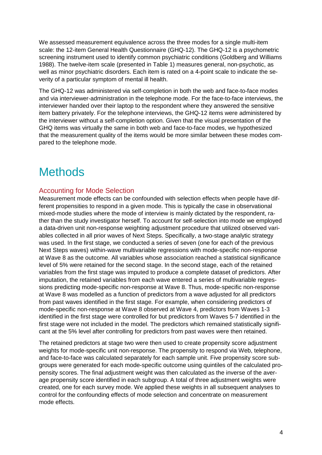We assessed measurement equivalence across the three modes for a single multi-item scale: the 12-item General Health Questionnaire (GHQ-12). The GHQ-12 is a psychometric screening instrument used to identify common psychiatric conditions (Goldberg and Williams 1988). The twelve-item scale (presented in Table 1) measures general, non-psychotic, as well as minor psychiatric disorders. Each item is rated on a 4-point scale to indicate the severity of a particular symptom of mental ill health.

The GHQ-12 was administered via self-completion in both the web and face-to-face modes and via interviewer-administration in the telephone mode. For the face-to-face interviews, the interviewer handed over their laptop to the respondent where they answered the sensitive item battery privately. For the telephone interviews, the GHQ-12 items were administered by the interviewer without a self-completion option. Given that the visual presentation of the GHQ items was virtually the same in both web and face-to-face modes, we hypothesized that the measurement quality of the items would be more similar between these modes compared to the telephone mode.

## **Methods**

#### Accounting for Mode Selection

Measurement mode effects can be confounded with selection effects when people have different propensities to respond in a given mode. This is typically the case in observational mixed-mode studies where the mode of interview is mainly dictated by the respondent, rather than the study investigator herself. To account for self-selection into mode we employed a data-driven unit non-response weighting adjustment procedure that utilized observed variables collected in all prior waves of Next Steps. Specifically, a two-stage analytic strategy was used. In the first stage, we conducted a series of seven (one for each of the previous Next Steps waves) within-wave multivariable regressions with mode-specific non-response at Wave 8 as the outcome. All variables whose association reached a statistical significance level of 5% were retained for the second stage. In the second stage, each of the retained variables from the first stage was imputed to produce a complete dataset of predictors. After imputation, the retained variables from each wave entered a series of multivariable regressions predicting mode-specific non-response at Wave 8. Thus, mode-specific non-response at Wave 8 was modelled as a function of predictors from a wave adjusted for all predictors from past waves identified in the first stage. For example, when considering predictors of mode-specific non-response at Wave 8 observed at Wave 4, predictors from Waves 1-3 identified in the first stage were controlled for but predictors from Waves 5-7 identified in the first stage were not included in the model. The predictors which remained statistically significant at the 5% level after controlling for predictors from past waves were then retained.

The retained predictors at stage two were then used to create propensity score adjustment weights for mode-specific unit non-response. The propensity to respond via Web, telephone, and face-to-face was calculated separately for each sample unit. Five propensity score subgroups were generated for each mode-specific outcome using quintiles of the calculated propensity scores. The final adjustment weight was then calculated as the inverse of the average propensity score identified in each subgroup. A total of three adjustment weights were created, one for each survey mode. We applied these weights in all subsequent analyses to control for the confounding effects of mode selection and concentrate on measurement mode effects.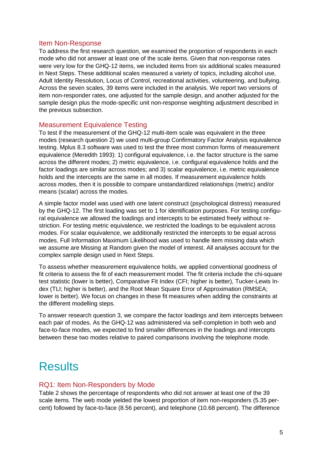#### Item Non-Response

To address the first research question, we examined the proportion of respondents in each mode who did not answer at least one of the scale items. Given that non-response rates were very low for the GHQ-12 items, we included items from six additional scales measured in Next Steps. These additional scales measured a variety of topics, including alcohol use, Adult Identity Resolution, Locus of Control, recreational activities, volunteering, and bullying. Across the seven scales, 39 items were included in the analysis. We report two versions of item non-responder rates, one adjusted for the sample design, and another adjusted for the sample design plus the mode-specific unit non-response weighting adjustment described in the previous subsection.

#### Measurement Equivalence Testing

To test if the measurement of the GHQ-12 multi-item scale was equivalent in the three modes (research question 2) we used multi-group Confirmatory Factor Analysis equivalence testing. Mplus 8.3 software was used to test the three most common forms of measurement equivalence (Meredith 1993): 1) configural equivalence, i.e. the factor structure is the same across the different modes; 2) metric equivalence, i.e. configural equivalence holds and the factor loadings are similar across modes; and 3) scalar equivalence, i.e. metric equivalence holds and the intercepts are the same in all modes. If measurement equivalence holds across modes, then it is possible to compare unstandardized relationships (metric) and/or means (scalar) across the modes.

A simple factor model was used with one latent construct (psychological distress) measured by the GHQ-12. The first loading was set to 1 for identification purposes. For testing configural equivalence we allowed the loadings and intercepts to be estimated freely without restriction. For testing metric equivalence, we restricted the loadings to be equivalent across modes. For scalar equivalence, we additionally restricted the intercepts to be equal across modes. Full Information Maximum Likelihood was used to handle item missing data which we assume are Missing at Random given the model of interest. All analyses account for the complex sample design used in Next Steps.

To assess whether measurement equivalence holds, we applied conventional goodness of fit criteria to assess the fit of each measurement model. The fit criteria include the chi-square test statistic (lower is better), Comparative Fit Index (CFI; higher is better), Tucker-Lewis Index (TLI; higher is better), and the Root Mean Square Error of Approximation (RMSEA; lower is better). We focus on changes in these fit measures when adding the constraints at the different modelling steps.

To answer research question 3, we compare the factor loadings and item intercepts between each pair of modes. As the GHQ-12 was administered via self-completion in both web and face-to-face modes, we expected to find smaller differences in the loadings and intercepts between these two modes relative to paired comparisons involving the telephone mode.

## **Results**

#### RQ1: Item Non-Responders by Mode

Table 2 shows the percentage of respondents who did not answer at least one of the 39 scale items. The web mode yielded the lowest proportion of item non-responders (5.35 percent) followed by face-to-face (8.56 percent), and telephone (10.68 percent). The difference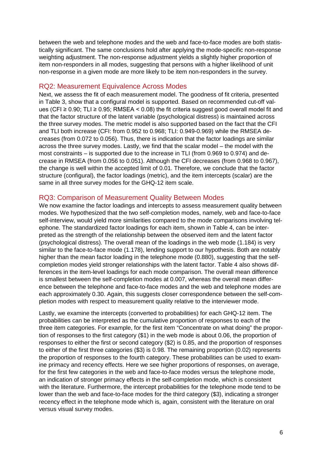between the web and telephone modes and the web and face-to-face modes are both statistically significant. The same conclusions hold after applying the mode-specific non-response weighting adjustment. The non-response adjustment yields a slightly higher proportion of item non-responders in all modes, suggesting that persons with a higher likelihood of unit non-response in a given mode are more likely to be item non-responders in the survey.

#### RQ2: Measurement Equivalence Across Modes

Next, we assess the fit of each measurement model. The goodness of fit criteria, presented in Table 3, show that a configural model is supported. Based on recommended cut-off values (CFI ≥ 0.90; TLI ≥ 0.95; RMSEA < 0.08) the fit criteria suggest good overall model fit and that the factor structure of the latent variable (psychological distress) is maintained across the three survey modes. The metric model is also supported based on the fact that the CFI and TLI both increase (CFI: from 0.952 to 0.968; TLI: 0.949-0.969) while the RMSEA decreases (from 0.072 to 0.056). Thus, there is indication that the factor loadings are similar across the three survey modes. Lastly, we find that the scalar model – the model with the most constraints – is supported due to the increase in TLI (from 0.969 to 0.974) and decrease in RMSEA (from 0.056 to 0.051). Although the CFI decreases (from 0.968 to 0.967), the change is well within the accepted limit of 0.01. Therefore, we conclude that the factor structure (configural), the factor loadings (metric), and the item intercepts (scalar) are the same in all three survey modes for the GHQ-12 item scale.

#### RQ3: Comparison of Measurement Quality Between Modes

We now examine the factor loadings and intercepts to assess measurement quality between modes. We hypothesized that the two self-completion modes, namely, web and face-to-face self-interview, would yield more similarities compared to the mode comparisons involving telephone. The standardized factor loadings for each item, shown in Table 4, can be interpreted as the strength of the relationship between the observed item and the latent factor (psychological distress). The overall mean of the loadings in the web mode (1.184) is very similar to the face-to-face mode (1.178), lending support to our hypothesis. Both are notably higher than the mean factor loading in the telephone mode (0.880), suggesting that the selfcompletion modes yield stronger relationships with the latent factor. Table 4 also shows differences in the item-level loadings for each mode comparison. The overall mean difference is smallest between the self-completion modes at 0.007, whereas the overall mean difference between the telephone and face-to-face modes and the web and telephone modes are each approximately 0.30. Again, this suggests closer correspondence between the self-completion modes with respect to measurement quality relative to the interviewer mode.

Lastly, we examine the intercepts (converted to probabilities) for each GHQ-12 item. The probabilities can be interpreted as the cumulative proportion of responses to each of the three item categories. For example, for the first item "Concentrate on what doing" the proportion of responses to the first category (\$1) in the web mode is about 0.06, the proportion of responses to either the first or second category (\$2) is 0.85, and the proportion of responses to either of the first three categories (\$3) is 0.98. The remaining proportion (0.02) represents the proportion of responses to the fourth category. These probabilities can be used to examine primacy and recency effects. Here we see higher proportions of responses, on average, for the first few categories in the web and face-to-face modes versus the telephone mode, an indication of stronger primacy effects in the self-completion mode, which is consistent with the literature. Furthermore, the intercept probabilities for the telephone mode tend to be lower than the web and face-to-face modes for the third category (\$3), indicating a stronger recency effect in the telephone mode which is, again, consistent with the literature on oral versus visual survey modes.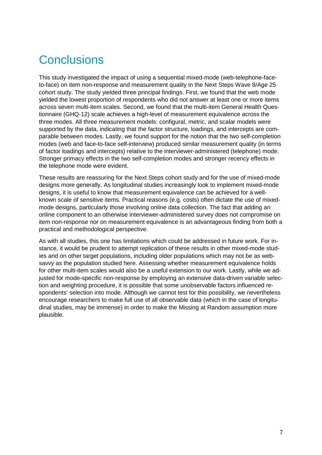# **Conclusions**

This study investigated the impact of using a sequential mixed-mode (web-telephone-faceto-face) on item non-response and measurement quality in the Next Steps Wave 8/Age 25 cohort study. The study yielded three principal findings. First, we found that the web mode yielded the lowest proportion of respondents who did not answer at least one or more items across seven multi-item scales. Second, we found that the multi-item General Health Questionnaire (GHQ-12) scale achieves a high-level of measurement equivalence across the three modes. All three measurement models: configural, metric, and scalar models were supported by the data, indicating that the factor structure, loadings, and intercepts are comparable between modes. Lastly, we found support for the notion that the two self-completion modes (web and face-to-face self-interview) produced similar measurement quality (in terms of factor loadings and intercepts) relative to the interviewer-administered (telephone) mode. Stronger primacy effects in the two self-completion modes and stronger recency effects in the telephone mode were evident.

These results are reassuring for the Next Steps cohort study and for the use of mixed-mode designs more generally. As longitudinal studies increasingly look to implement mixed-mode designs, it is useful to know that measurement equivalence can be achieved for a wellknown scale of sensitive items. Practical reasons (e.g. costs) often dictate the use of mixedmode designs, particularly those involving online data collection. The fact that adding an online component to an otherwise interviewer-administered survey does not compromise on item non-response nor on measurement equivalence is an advantageous finding from both a practical and methodological perspective.

As with all studies, this one has limitations which could be addressed in future work. For instance, it would be prudent to attempt replication of these results in other mixed-mode studies and on other target populations, including older populations which may not be as websavvy as the population studied here. Assessing whether measurement equivalence holds for other multi-item scales would also be a useful extension to our work. Lastly, while we adjusted for mode-specific non-response by employing an extensive data-driven variable selection and weighting procedure, it is possible that some unobservable factors influenced respondents' selection into mode. Although we cannot test for this possibility, we nevertheless encourage researchers to make full use of all observable data (which in the case of longitudinal studies, may be immense) in order to make the Missing at Random assumption more plausible.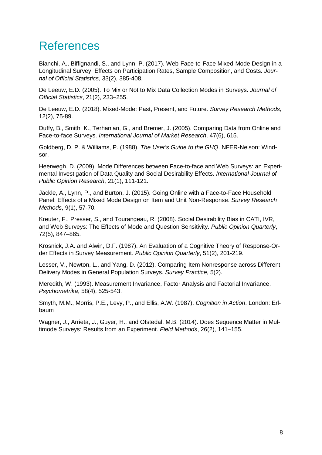## **References**

Bianchi, A., Biffignandi, S., and Lynn, P. (2017). Web-Face-to-Face Mixed-Mode Design in a Longitudinal Survey: Effects on Participation Rates, Sample Composition, and Costs. *Journal of Official Statistics*, 33(2), 385-408.

De Leeuw, E.D. (2005). To Mix or Not to Mix Data Collection Modes in Surveys. *Journal of Official Statistics*, 21(2), 233–255.

De Leeuw, E.D. (2018). Mixed-Mode: Past, Present, and Future. *Survey Research Methods,*  12(2), 75-89.

Duffy, B., Smith, K., Terhanian, G., and Bremer, J. (2005). Comparing Data from Online and Face-to-face Surveys. *International Journal of Market Research*, 47(6), 615.

Goldberg, D. P. & Williams, P. (1988). *The User's Guide to the GHQ*. NFER-Nelson: Windsor.

Heerwegh, D. (2009). Mode Differences between Face-to-face and Web Surveys: an Experimental Investigation of Data Quality and Social Desirability Effects. *International Journal of Public Opinion Research*, 21(1), 111-121.

Jäckle, A., Lynn, P., and Burton, J. (2015). Going Online with a Face-to-Face Household Panel: Effects of a Mixed Mode Design on Item and Unit Non-Response. *Survey Research Methods*, 9(1), 57-70.

Kreuter, F., Presser, S., and Tourangeau, R. (2008). Social Desirability Bias in CATI, IVR, and Web Surveys: The Effects of Mode and Question Sensitivity. *Public Opinion Quarterly*, 72(5), 847–865.

Krosnick, J.A. and Alwin, D.F. (1987). An Evaluation of a Cognitive Theory of Response-Order Effects in Survey Measurement. *Public Opinion Quarterly*, 51(2), 201-219.

Lesser, V., Newton, L., and Yang, D. (2012). Comparing Item Nonresponse across Different Delivery Modes in General Population Surveys. *Survey Practice*, 5(2).

Meredith, W. (1993). Measurement Invariance, Factor Analysis and Factorial Invariance. *Psychometrika*, 58(4), 525-543.

Smyth, M.M., Morris, P.E., Levy, P., and Ellis, A.W. (1987). *Cognition in Action*. London: Erlbaum

Wagner, J., Arrieta, J., Guyer, H., and Ofstedal, M.B. (2014). Does Sequence Matter in Multimode Surveys: Results from an Experiment. *Field Methods*, 26(2), 141–155.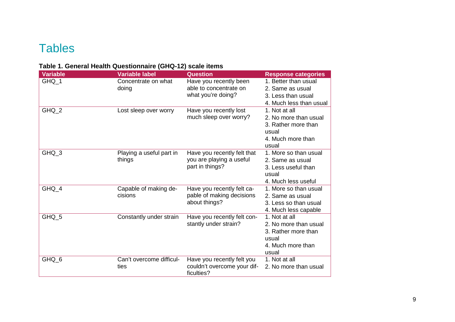## **Tables**

### **Table 1. General Health Questionnaire (GHQ-12) scale items**

| <b>Variable</b>  | <b>Variable label</b>    | <b>Question</b>             | <b>Response categories</b> |
|------------------|--------------------------|-----------------------------|----------------------------|
| GHQ_1            | Concentrate on what      | Have you recently been      | 1. Better than usual       |
|                  | doing                    | able to concentrate on      | 2. Same as usual           |
|                  |                          | what you're doing?          | 3. Less than usual         |
|                  |                          |                             | 4. Much less than usual    |
| GHQ_2            | Lost sleep over worry    | Have you recently lost      | 1. Not at all              |
|                  |                          | much sleep over worry?      | 2. No more than usual      |
|                  |                          |                             | 3. Rather more than        |
|                  |                          |                             | usual                      |
|                  |                          |                             | 4. Much more than          |
|                  |                          |                             | usual                      |
| GHQ_3            | Playing a useful part in | Have you recently felt that | 1. More so than usual      |
|                  | things                   | you are playing a useful    | 2. Same as usual           |
|                  |                          | part in things?             | 3. Less useful than        |
|                  |                          |                             | usual                      |
|                  |                          |                             | 4. Much less useful        |
| GHQ_4            | Capable of making de-    | Have you recently felt ca-  | 1. More so than usual      |
|                  | cisions                  | pable of making decisions   | 2. Same as usual           |
|                  |                          | about things?               | 3. Less so than usual      |
|                  |                          |                             | 4. Much less capable       |
| GHQ_5            | Constantly under strain  | Have you recently felt con- | 1. Not at all              |
|                  |                          | stantly under strain?       | 2. No more than usual      |
|                  |                          |                             | 3. Rather more than        |
|                  |                          |                             | usual                      |
|                  |                          |                             | 4. Much more than          |
|                  |                          |                             | usual                      |
| GHQ <sub>6</sub> | Can't overcome difficul- | Have you recently felt you  | 1. Not at all              |
|                  | ties                     | couldn't overcome your dif- | 2. No more than usual      |
|                  |                          | ficulties?                  |                            |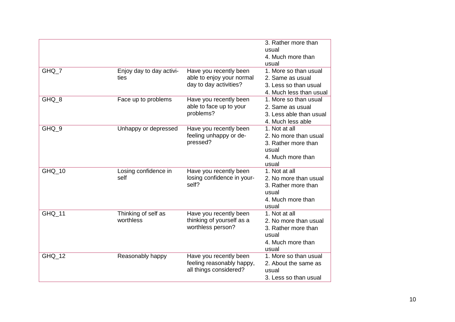|        |                          |                                     | 3. Rather more than<br>usual |
|--------|--------------------------|-------------------------------------|------------------------------|
|        |                          |                                     | 4. Much more than<br>usual   |
| GHQ_7  | Enjoy day to day activi- | Have you recently been              | 1. More so than usual        |
|        | ties                     | able to enjoy your normal           | 2. Same as usual             |
|        |                          | day to day activities?              | 3. Less so than usual        |
|        |                          |                                     | 4. Much less than usual      |
| GHQ_8  | Face up to problems      | Have you recently been              | 1. More so than usual        |
|        |                          | able to face up to your             | 2. Same as usual             |
|        |                          | problems?                           | 3. Less able than usual      |
|        |                          |                                     | 4. Much less able            |
| GHQ 9  | Unhappy or depressed     | Have you recently been              | 1. Not at all                |
|        |                          | feeling unhappy or de-              | 2. No more than usual        |
|        |                          | pressed?                            | 3. Rather more than          |
|        |                          |                                     | usual                        |
|        |                          |                                     | 4. Much more than            |
|        |                          |                                     | usual                        |
| GHQ_10 | Losing confidence in     | Have you recently been              | 1. Not at all                |
|        | self                     | losing confidence in your-<br>self? | 2. No more than usual        |
|        |                          |                                     | 3. Rather more than          |
|        |                          |                                     | usual<br>4. Much more than   |
|        |                          |                                     | usual                        |
| GHQ 11 | Thinking of self as      | Have you recently been              | 1. Not at all                |
|        | worthless                | thinking of yourself as a           | 2. No more than usual        |
|        |                          | worthless person?                   | 3. Rather more than          |
|        |                          |                                     | usual                        |
|        |                          |                                     | 4. Much more than            |
|        |                          |                                     | usual                        |
| GHQ_12 | Reasonably happy         | Have you recently been              | 1. More so than usual        |
|        |                          | feeling reasonably happy,           | 2. About the same as         |
|        |                          | all things considered?              | usual                        |
|        |                          |                                     | 3. Less so than usual        |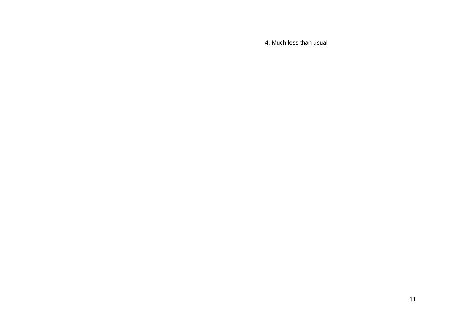4. Much less than usual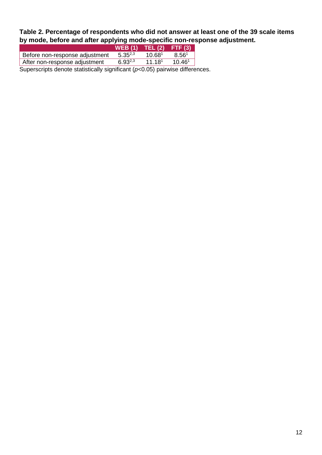**Table 2. Percentage of respondents who did not answer at least one of the 39 scale items by mode, before and after applying mode-specific non-response adjustment.** 

|                                                                                  | $WEB(1)$ TEL $(2)$ |                    | FTF(3)             |  |
|----------------------------------------------------------------------------------|--------------------|--------------------|--------------------|--|
| Before non-response adjustment                                                   | $5.35^{2,3}$       | 10.68 <sup>1</sup> | 8.56 <sup>1</sup>  |  |
| After non-response adjustment                                                    | $6.93^{2,3}$       | 11.18 <sup>1</sup> | 10.46 <sup>1</sup> |  |
| Superscripts denote statistically significant ( $p<0.05$ ) pairwise differences. |                    |                    |                    |  |

12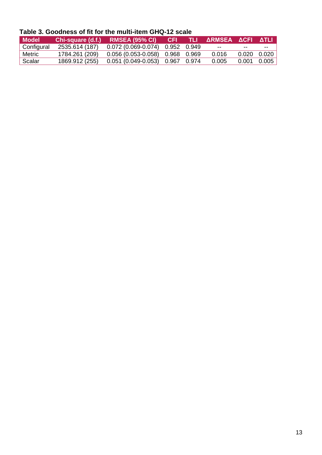| Table 3. Goodness of fit for the multi-item GHQ-12 scale |  |  |  |
|----------------------------------------------------------|--|--|--|
|----------------------------------------------------------|--|--|--|

| Model      |                | Chi-square (d.f.) RMSEA (95% CI) CFI TLI ARMSEA ACFI ATLI |  |       |              |       |
|------------|----------------|-----------------------------------------------------------|--|-------|--------------|-------|
| Configural |                | 2535.614 (187)  0.072 (0.069-0.074)  0.952  0.949         |  | $- -$ | --           | $- -$ |
| Metric     | 1784.261 (209) | $0.056(0.053-0.058)$ 0.968 0.969                          |  | 0.016 | 0.020  0.020 |       |
| Scalar     | 1869.912 (255) | 0.051 (0.049-0.053) 0.967 0.974                           |  | 0.005 | 0.001 0.005  |       |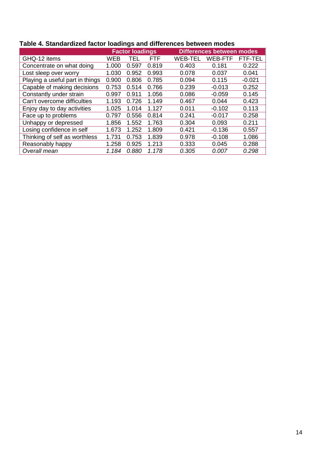|                                 |       | <b>Factor loadings</b> |       |                | <b>Differences between modes</b> |                |
|---------------------------------|-------|------------------------|-------|----------------|----------------------------------|----------------|
| GHQ-12 items                    | WEB   | TEL                    | FTF   | <b>WEB-TEL</b> | <b>WEB-FTF</b>                   | <b>FTF-TEL</b> |
| Concentrate on what doing       | 1.000 | 0.597                  | 0.819 | 0.403          | 0.181                            | 0.222          |
| Lost sleep over worry           | 1.030 | 0.952                  | 0.993 | 0.078          | 0.037                            | 0.041          |
| Playing a useful part in things | 0.900 | 0.806                  | 0.785 | 0.094          | 0.115                            | $-0.021$       |
| Capable of making decisions     | 0.753 | 0.514                  | 0.766 | 0.239          | $-0.013$                         | 0.252          |
| Constantly under strain         | 0.997 | 0.911                  | 1.056 | 0.086          | $-0.059$                         | 0.145          |
| Can't overcome difficulties     | 1.193 | 0.726                  | 1.149 | 0.467          | 0.044                            | 0.423          |
| Enjoy day to day activities     | 1.025 | 1.014                  | 1.127 | 0.011          | $-0.102$                         | 0.113          |
| Face up to problems             | 0.797 | 0.556                  | 0.814 | 0.241          | $-0.017$                         | 0.258          |
| Unhappy or depressed            | 1.856 | 1.552                  | 1.763 | 0.304          | 0.093                            | 0.211          |
| Losing confidence in self       | 1.673 | 1.252                  | 1.809 | 0.421          | $-0.136$                         | 0.557          |
| Thinking of self as worthless   | 1.731 | 0.753                  | 1.839 | 0.978          | $-0.108$                         | 1.086          |
| Reasonably happy                | 1.258 | 0.925                  | 1.213 | 0.333          | 0.045                            | 0.288          |
| Overall mean                    | 1.184 | 0.880                  | 1.178 | 0.305          | 0.007                            | 0.298          |

## **Table 4. Standardized factor loadings and differences between modes**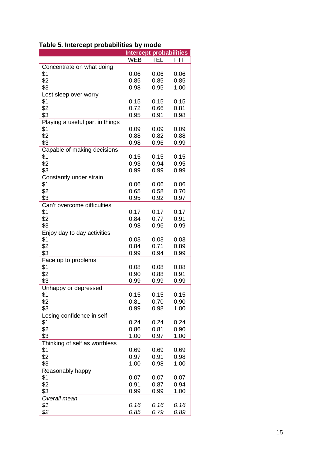|                                 |            | <b>Intercept probabilities</b> |            |
|---------------------------------|------------|--------------------------------|------------|
|                                 | <b>WEB</b> | <b>TEL</b>                     | <b>FTF</b> |
| Concentrate on what doing       |            |                                |            |
| \$1                             | 0.06       | 0.06                           | 0.06       |
| \$2                             | 0.85       | 0.85                           | 0.85       |
| \$3                             | 0.98       | 0.95                           | 1.00       |
|                                 |            |                                |            |
| Lost sleep over worry           |            |                                |            |
| \$1                             | 0.15       | 0.15                           | 0.15       |
| \$2                             | 0.72       | 0.66                           | 0.81       |
| \$3                             | 0.95       | 0.91                           | 0.98       |
| Playing a useful part in things |            |                                |            |
| \$1                             | 0.09       | 0.09                           | 0.09       |
| \$2                             | 0.88       | 0.82                           | 0.88       |
| \$3                             | 0.98       | 0.96                           | 0.99       |
| Capable of making decisions     |            |                                |            |
| \$1                             | 0.15       | 0.15                           | 0.15       |
| \$2                             | 0.93       | 0.94                           | 0.95       |
| \$3                             | 0.99       | 0.99                           | 0.99       |
|                                 |            |                                |            |
| Constantly under strain         |            |                                |            |
| \$1                             | 0.06       | 0.06                           | 0.06       |
| \$2                             | 0.65       | 0.58                           | 0.70       |
| \$3                             | 0.95       | 0.92                           | 0.97       |
| Can't overcome difficulties     |            |                                |            |
| \$1                             | 0.17       | 0.17                           | 0.17       |
| \$2                             | 0.84       | 0.77                           | 0.91       |
| \$3                             | 0.98       | 0.96                           | 0.99       |
| Enjoy day to day activities     |            |                                |            |
| \$1                             | 0.03       | 0.03                           | 0.03       |
| \$2                             | 0.84       | 0.71                           | 0.89       |
|                                 |            |                                |            |
| \$3                             | 0.99       | 0.94                           | 0.99       |
| Face up to problems             |            |                                |            |
| \$1                             | 0.08       | 0.08                           | 0.08       |
| \$2                             | 0.90       | 0.88                           | 0.91       |
| \$3                             | 0.99       | 0.99                           | 0.99       |
| Unhappy or depressed            |            |                                |            |
| \$1                             | 0.15       | 0.15                           | 0.15       |
| \$2                             | 0.81       | 0.70                           | 0.90       |
| \$3                             | 0.99       | 0.98                           | 1.00       |
| Losing confidence in self       |            |                                |            |
| \$1                             | 0.24       | 0.24                           | 0.24       |
| \$2                             | 0.86       | 0.81                           | 0.90       |
| \$3                             | 1.00       | 0.97                           | 1.00       |
|                                 |            |                                |            |
| Thinking of self as worthless   |            |                                |            |
| \$1                             | 0.69       | 0.69                           | 0.69       |
| \$2                             | 0.97       | 0.91                           | 0.98       |
| \$3                             | 1.00       | 0.98                           | 1.00       |
| Reasonably happy                |            |                                |            |
| \$1                             | 0.07       | 0.07                           | 0.07       |
| \$2                             | 0.91       | 0.87                           | 0.94       |
| \$3                             | 0.99       | 0.99                           | 1.00       |
| Overall mean                    |            |                                |            |
| \$1                             | 0.16       | 0.16                           | 0.16       |
| \$2                             | 0.85       | 0.79                           | 0.89       |
|                                 |            |                                |            |

## **Table 5. Intercept probabilities by mode**